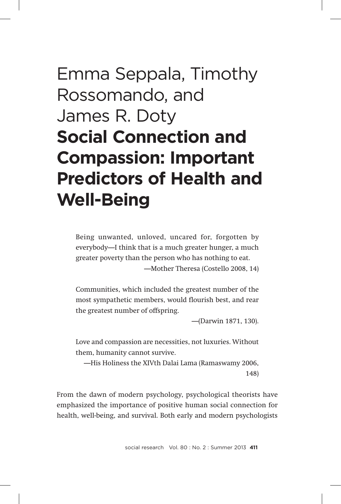# Emma Seppala, Timothy Rossomando, and James R. Doty **Social Connection and Compassion: Important Predictors of Health and Well-Being**

Being unwanted, unloved, uncared for, forgotten by everybody—I think that is a much greater hunger, a much greater poverty than the person who has nothing to eat. —Mother Theresa (Costello 2008, 14)

Communities, which included the greatest number of the most sympathetic members, would flourish best, and rear the greatest number of offspring.

—(Darwin 1871, 130).

Love and compassion are necessities, not luxuries. Without them, humanity cannot survive.

—His Holiness the XIVth Dalai Lama (Ramaswamy 2006, 148)

From the dawn of modern psychology, psychological theorists have emphasized the importance of positive human social connection for health, well-being, and survival. Both early and modern psychologists

social researchVol. 80 : No. 2 : Summer 2013 **411**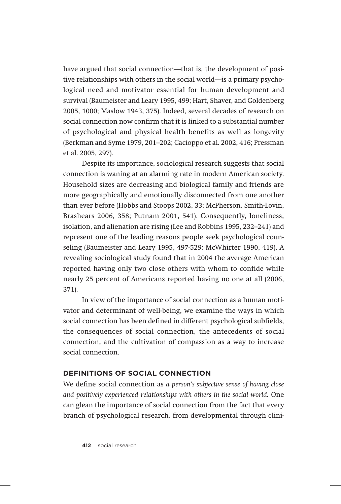have argued that social connection—that is, the development of positive relationships with others in the social world—is a primary psychological need and motivator essential for human development and survival (Baumeister and Leary 1995, 499; Hart, Shaver, and Goldenberg 2005, 1000; Maslow 1943, 375). Indeed, several decades of research on social connection now confirm that it is linked to a substantial number of psychological and physical health benefits as well as longevity (Berkman and Syme 1979, 201–202; Cacioppo et al. 2002, 416; Pressman et al. 2005, 297).

Despite its importance, sociological research suggests that social connection is waning at an alarming rate in modern American society. Household sizes are decreasing and biological family and friends are more geographically and emotionally disconnected from one another than ever before (Hobbs and Stoops 2002, 33; McPherson, Smith-Lovin, Brashears 2006, 358; Putnam 2001, 541). Consequently, loneliness, isolation, and alienation are rising (Lee and Robbins 1995, 232–241) and represent one of the leading reasons people seek psychological counseling (Baumeister and Leary 1995, 497-529; McWhirter 1990, 419). A revealing sociological study found that in 2004 the average American reported having only two close others with whom to confide while nearly 25 percent of Americans reported having no one at all (2006, 371).

In view of the importance of social connection as a human motivator and determinant of well-being, we examine the ways in which social connection has been defined in different psychological subfields, the consequences of social connection, the antecedents of social connection, and the cultivation of compassion as a way to increase social connection.

# **Definitions of Social Connection**

We define social connection as *a person's subjective sense of having close and positively experienced relationships with others in the social world.* One can glean the importance of social connection from the fact that every branch of psychological research, from developmental through clini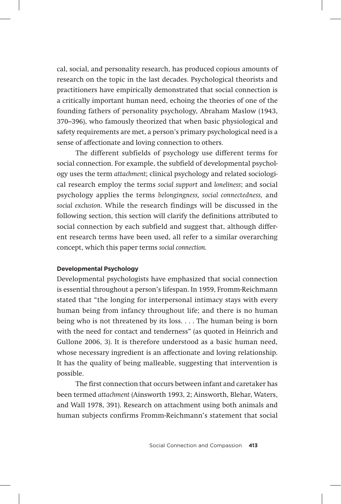cal, social, and personality research, has produced copious amounts of research on the topic in the last decades. Psychological theorists and practitioners have empirically demonstrated that social connection is a critically important human need, echoing the theories of one of the founding fathers of personality psychology, Abraham Maslow (1943, 370–396), who famously theorized that when basic physiological and safety requirements are met, a person's primary psychological need is a sense of affectionate and loving connection to others.

The different subfields of psychology use different terms for social connection. For example, the subfield of developmental psychology uses the term *attachment*; clinical psychology and related sociological research employ the terms *social support* and *loneliness*; and social psychology applies the terms *belongingness, social connectedness,* and *social exclusion*. While the research findings will be discussed in the following section, this section will clarify the definitions attributed to social connection by each subfield and suggest that, although different research terms have been used, all refer to a similar overarching concept, which this paper terms *social connection.* 

#### **Developmental Psychology**

Developmental psychologists have emphasized that social connection is essential throughout a person's lifespan. In 1959, Fromm-Reichmann stated that "the longing for interpersonal intimacy stays with every human being from infancy throughout life; and there is no human being who is not threatened by its loss. . . . The human being is born with the need for contact and tenderness" (as quoted in Heinrich and Gullone 2006, 3). It is therefore understood as a basic human need, whose necessary ingredient is an affectionate and loving relationship. It has the quality of being malleable, suggesting that intervention is possible.

The first connection that occurs between infant and caretaker has been termed *attachment* (Ainsworth 1993, 2; Ainsworth, Blehar, Waters, and Wall 1978, 391). Research on attachment using both animals and human subjects confirms Fromm-Reichmann's statement that social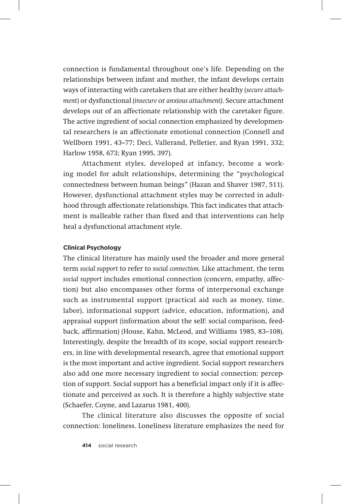connection is fundamental throughout one's life. Depending on the relationships between infant and mother, the infant develops certain ways of interacting with caretakers that are either healthy (*secure attachment*) or dysfunctional (*insecure* or *anxious attachment)*. Secure attachment develops out of an affectionate relationship with the caretaker figure. The active ingredient of social connection emphasized by developmental researchers is an affectionate emotional connection (Connell and Wellborn 1991, 43–77; Deci, Vallerand, Pelletier, and Ryan 1991, 332; Harlow 1958, 673; Ryan 1995, 397).

Attachment styles, developed at infancy, become a working model for adult relationships, determining the "psychological connectedness between human beings" (Hazan and Shaver 1987, 511). However, dysfunctional attachment styles may be corrected in adulthood through affectionate relationships. This fact indicates that attachment is malleable rather than fixed and that interventions can help heal a dysfunctional attachment style.

#### **Clinical Psychology**

The clinical literature has mainly used the broader and more general term *social support* to refer to *social connection.* Like attachment, the term *social support* includes emotional connection (concern, empathy, affection) but also encompasses other forms of interpersonal exchange such as instrumental support (practical aid such as money, time, labor), informational support (advice, education, information), and appraisal support (information about the self: social comparison, feedback, affirmation) (House, Kahn, McLeod, and Williams 1985, 83–108). Interestingly, despite the breadth of its scope, social support researchers, in line with developmental research, agree that emotional support is the most important and active ingredient. Social support researchers also add one more necessary ingredient to social connection: perception of support. Social support has a beneficial impact only if it is affectionate and perceived as such. It is therefore a highly subjective state (Schaefer, Coyne, and Lazarus 1981, 400).

The clinical literature also discusses the opposite of social connection: loneliness. Loneliness literature emphasizes the need for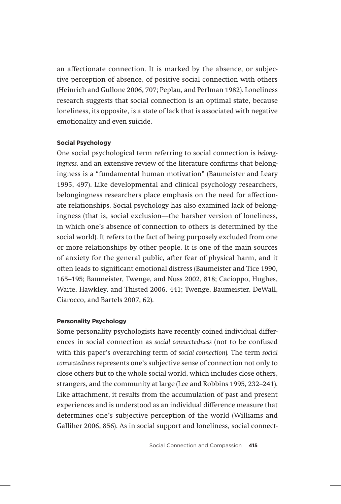an affectionate connection. It is marked by the absence, or subjective perception of absence, of positive social connection with others (Heinrich and Gullone 2006, 707; Peplau, and Perlman 1982). Loneliness research suggests that social connection is an optimal state, because loneliness, its opposite, is a state of lack that is associated with negative emotionality and even suicide.

#### **Social Psychology**

One social psychological term referring to social connection is *belongingness,* and an extensive review of the literature confirms that belongingness is a "fundamental human motivation" (Baumeister and Leary 1995, 497). Like developmental and clinical psychology researchers, belongingness researchers place emphasis on the need for affectionate relationships. Social psychology has also examined lack of belongingness (that is, social exclusion*—t*he harsher version of loneliness, in which one's absence of connection to others is determined by the social world). It refers to the fact of being purposely excluded from one or more relationships by other people. It is one of the main sources of anxiety for the general public, after fear of physical harm, and it often leads to significant emotional distress (Baumeister and Tice 1990, 165–195; Baumeister, Twenge, and Nuss 2002, 818; Cacioppo, Hughes, Waite, Hawkley, and Thisted 2006, 441; Twenge, Baumeister, DeWall, Ciarocco, and Bartels 2007, 62).

#### **Personality Psychology**

Some personality psychologists have recently coined individual differences in social connection as *social connectedness* (not to be confused with this paper's overarching term of *social connection*)*.* The term *social connectedness* represents one's subjective sense of connection not only to close others but to the whole social world, which includes close others, strangers, and the community at large (Lee and Robbins 1995, 232–241). Like attachment, it results from the accumulation of past and present experiences and is understood as an individual difference measure that determines one's subjective perception of the world (Williams and Galliher 2006, 856). As in social support and loneliness, social connect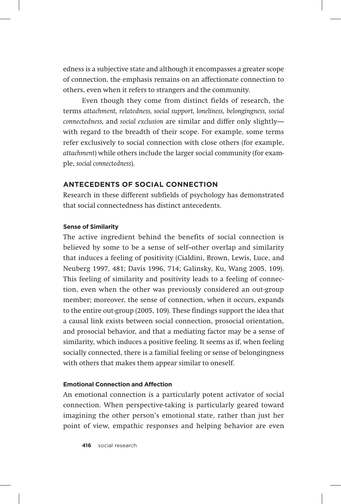edness is a subjective state and although it encompasses a greater scope of connection, the emphasis remains on an affectionate connection to others, even when it refers to strangers and the community.

Even though they come from distinct fields of research, the terms *attachment, relatedness, social support, loneliness, belongingness, social connectedness,* and *social exclusion* are similar and differ only slightly with regard to the breadth of their scope. For example, some terms refer exclusively to social connection with close others (for example, *attachment*) while others include the larger social community (for example, *social connectedness*).

# **Antecedents of Social Connection**

Research in these different subfields of psychology has demonstrated that social connectedness has distinct antecedents.

#### **Sense of Similarity**

The active ingredient behind the benefits of social connection is believed by some to be a sense of self–other overlap and similarity that induces a feeling of positivity (Cialdini, Brown, Lewis, Luce, and Neuberg 1997, 481; Davis 1996, 714; Galinsky, Ku, Wang 2005, 109). This feeling of similarity and positivity leads to a feeling of connection, even when the other was previously considered an out-group member; moreover, the sense of connection, when it occurs, expands to the entire out-group (2005, 109). These findings support the idea that a causal link exists between social connection, prosocial orientation, and prosocial behavior, and that a mediating factor may be a sense of similarity, which induces a positive feeling. It seems as if, when feeling socially connected, there is a familial feeling or sense of belongingness with others that makes them appear similar to oneself.

# **Emotional Connection and Affection**

An emotional connection is a particularly potent activator of social connection. When perspective-taking is particularly geared toward imagining the other person's emotional state, rather than just her point of view, empathic responses and helping behavior are even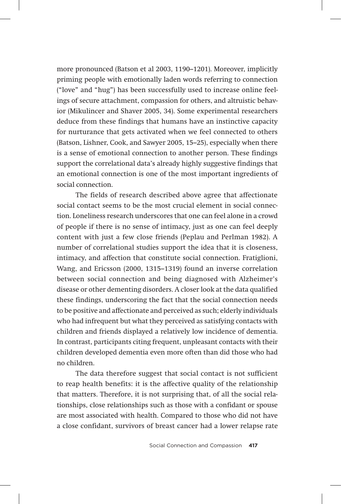more pronounced (Batson et al 2003, 1190–1201). Moreover, implicitly priming people with emotionally laden words referring to connection ("love" and "hug") has been successfully used to increase online feelings of secure attachment, compassion for others, and altruistic behavior (Mikulincer and Shaver 2005, 34). Some experimental researchers deduce from these findings that humans have an instinctive capacity for nurturance that gets activated when we feel connected to others (Batson, Lishner, Cook, and Sawyer 2005, 15–25), especially when there is a sense of emotional connection to another person. These findings support the correlational data's already highly suggestive findings that an emotional connection is one of the most important ingredients of social connection.

The fields of research described above agree that affectionate social contact seems to be the most crucial element in social connection. Loneliness research underscores that one can feel alone in a crowd of people if there is no sense of intimacy, just as one can feel deeply content with just a few close friends (Peplau and Perlman 1982). A number of correlational studies support the idea that it is closeness, intimacy, and affection that constitute social connection. Fratiglioni, Wang, and Ericsson (2000, 1315–1319) found an inverse correlation between social connection and being diagnosed with Alzheimer's disease or other dementing disorders. A closer look at the data qualified these findings, underscoring the fact that the social connection needs to be positive and affectionate and perceived as such; elderly individuals who had infrequent but what they perceived as satisfying contacts with children and friends displayed a relatively low incidence of dementia. In contrast, participants citing frequent, unpleasant contacts with their children developed dementia even more often than did those who had no children.

The data therefore suggest that social contact is not sufficient to reap health benefits: it is the affective quality of the relationship that matters. Therefore, it is not surprising that, of all the social relationships, close relationships such as those with a confidant or spouse are most associated with health. Compared to those who did not have a close confidant, survivors of breast cancer had a lower relapse rate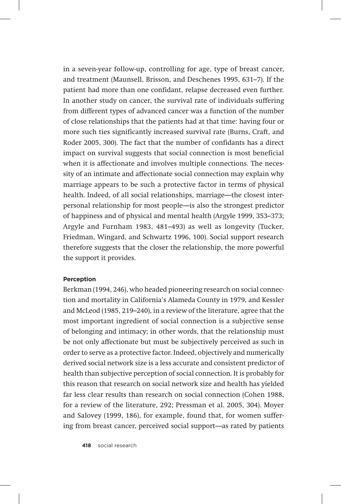in a seven-year follow-up, controlling for age, type of breast cancer, and treatment (Maunsell, Brisson, and Deschenes 1995, 631–7). If the patient had more than one confidant, relapse decreased even further. In another study on cancer, the survival rate of individuals suffering from different types of advanced cancer was a function of the number of close relationships that the patients had at that time: having four or more such ties significantly increased survival rate (Burns, Craft, and Roder 2005, 300). The fact that the number of confidants has a direct impact on survival suggests that social connection is most beneficial when it is affectionate and involves multiple connections. The necessity of an intimate and affectionate social connection may explain why marriage appears to be such a protective factor in terms of physical health. Indeed, of all social relationships, marriage—the closest interpersonal relationship for most people—is also the strongest predictor of happiness and of physical and mental health (Argyle 1999, 353–373; Argyle and Furnham 1983, 481–493) as well as longevity (Tucker, Friedman, Wingard, and Schwartz 1996, 100). Social support research therefore suggests that the closer the relationship, the more powerful the support it provides.

#### **Perception**

Berkman (1994, 246), who headed pioneering research on social connection and mortality in California's Alameda County in 1979, and Kessler and McLeod (1985, 219–240), in a review of the literature, agree that the most important ingredient of social connection is a subjective sense of belonging and intimacy; in other words, that the relationship must be not only affectionate but must be subjectively perceived as such in order to serve as a protective factor. Indeed, objectively and numerically derived social network size is a less accurate and consistent predictor of health than subjective perception of social connection. It is probably for this reason that research on social network size and health has yielded far less clear results than research on social connection (Cohen 1988, for a review of the literature, 292; Pressman et al. 2005, 304). Moyer and Salovey (1999, 186), for example, found that, for women suffering from breast cancer, perceived social support—as rated by patients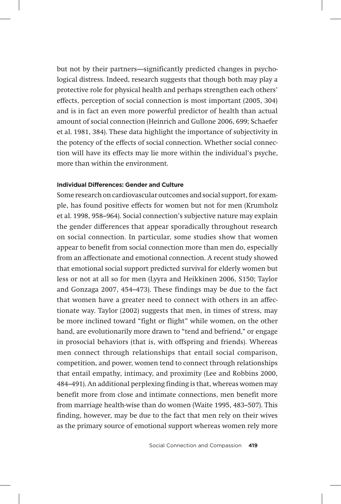but not by their partners—significantly predicted changes in psychological distress. Indeed, research suggests that though both may play a protective role for physical health and perhaps strengthen each others' effects, perception of social connection is most important (2005, 304) and is in fact an even more powerful predictor of health than actual amount of social connection (Heinrich and Gullone 2006, 699; Schaefer et al. 1981, 384). These data highlight the importance of subjectivity in the potency of the effects of social connection. Whether social connection will have its effects may lie more within the individual's psyche, more than within the environment.

#### **Individual Differences: Gender and Culture**

Some research on cardiovascular outcomes and social support, for example, has found positive effects for women but not for men (Krumholz et al. 1998, 958–964). Social connection's subjective nature may explain the gender differences that appear sporadically throughout research on social connection. In particular, some studies show that women appear to benefit from social connection more than men do, especially from an affectionate and emotional connection. A recent study showed that emotional social support predicted survival for elderly women but less or not at all so for men (Lyyra and Heikkinen 2006, S150; Taylor and Gonzaga 2007, 454–473). These findings may be due to the fact that women have a greater need to connect with others in an affectionate way. Taylor (2002) suggests that men, in times of stress, may be more inclined toward "fight or flight" while women, on the other hand, are evolutionarily more drawn to "tend and befriend," or engage in prosocial behaviors (that is, with offspring and friends). Whereas men connect through relationships that entail social comparison, competition, and power, women tend to connect through relationships that entail empathy, intimacy, and proximity (Lee and Robbins 2000, 484–491). An additional perplexing finding is that, whereas women may benefit more from close and intimate connections, men benefit more from marriage health-wise than do women (Waite 1995, 483–507). This finding, however, may be due to the fact that men rely on their wives as the primary source of emotional support whereas women rely more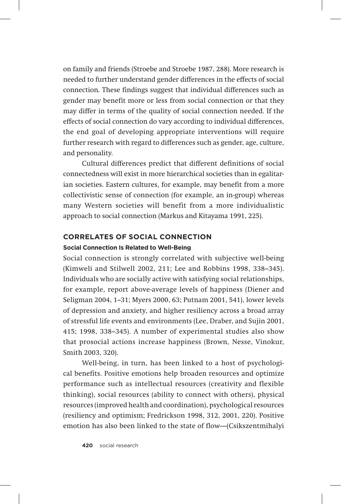on family and friends (Stroebe and Stroebe 1987, 288). More research is needed to further understand gender differences in the effects of social connection. These findings suggest that individual differences such as gender may benefit more or less from social connection or that they may differ in terms of the quality of social connection needed. If the effects of social connection do vary according to individual differences, the end goal of developing appropriate interventions will require further research with regard to differences such as gender, age, culture, and personality.

Cultural differences predict that different definitions of social connectedness will exist in more hierarchical societies than in egalitarian societies. Eastern cultures, for example, may benefit from a more collectivistic sense of connection (for example, an in-group) whereas many Western societies will benefit from a more individualistic approach to social connection (Markus and Kitayama 1991, 225).

#### **Correlates of Social Connection**

#### **Social Connection Is Related to Well-Being**

Social connection is strongly correlated with subjective well-being (Kimweli and Stilwell 2002, 211; Lee and Robbins 1998, 338–345). Individuals who are socially active with satisfying social relationships, for example, report above-average levels of happiness (Diener and Seligman 2004, 1–31; Myers 2000, 63; Putnam 2001, 541), lower levels of depression and anxiety, and higher resiliency across a broad array of stressful life events and environments (Lee, Draber, and Sujin 2001, 415; 1998, 338–345). A number of experimental studies also show that prosocial actions increase happiness (Brown, Nesse, Vinokur, Smith 2003, 320).

Well-being, in turn, has been linked to a host of psychological benefits. Positive emotions help broaden resources and optimize performance such as intellectual resources (creativity and flexible thinking), social resources (ability to connect with others), physical resources (improved health and coordination), psychological resources (resiliency and optimism; Fredrickson 1998, 312, 2001, 220). Positive emotion has also been linked to the state of flow*—*(Csikszentmihalyi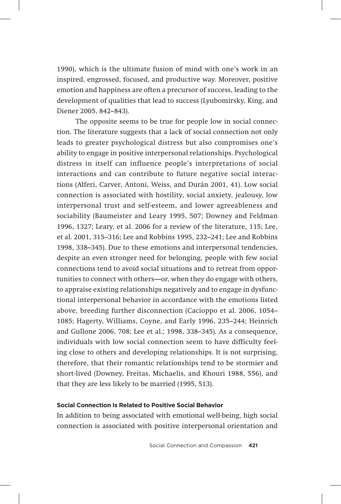1990), which is the ultimate fusion of mind with one's work in an inspired, engrossed, focused, and productive way. Moreover, positive emotion and happiness are often a precursor of success, leading to the development of qualities that lead to success (Lyubomirsky, King, and Diener 2005, 842–843).

The opposite seems to be true for people low in social connection. The literature suggests that a lack of social connection not only leads to greater psychological distress but also compromises one's ability to engage in positive interpersonal relationships. Psychological distress in itself can influence people's interpretations of social interactions and can contribute to future negative social interactions (Alferi, Carver, Antoni, Weiss, and Durán 2001, 41). Low social connection is associated with hostility, social anxiety, jealousy, low interpersonal trust and self-esteem, and lower agreeableness and sociability (Baumeister and Leary 1995, 507; Downey and Feldman 1996, 1327; Leary, et al. 2006 for a review of the literature, 115; Lee, et al. 2001, 315–316; Lee and Robbins 1995, 232–241; Lee and Robbins 1998, 338–345). Due to these emotions and interpersonal tendencies, despite an even stronger need for belonging, people with few social connections tend to avoid social situations and to retreat from opportunities to connect with others—or, when they do engage with others, to appraise existing relationships negatively and to engage in dysfunctional interpersonal behavior in accordance with the emotions listed above, breeding further disconnection (Cacioppo et al. 2006, 1054– 1085; Hagerty, Williams, Coyne, and Early 1996, 235–244; Heinrich and Gullone 2006, 708; Lee et al.; 1998, 338–345). As a consequence, individuals with low social connection seem to have difficulty feeling close to others and developing relationships. It is not surprising, therefore, that their romantic relationships tend to be stormier and short-lived (Downey, Freitas, Michaelis, and Khouri 1988, 556), and that they are less likely to be married (1995, 513).

# **Social Connection Is Related to Positive Social Behavior**

In addition to being associated with emotional well-being, high social connection is associated with positive interpersonal orientation and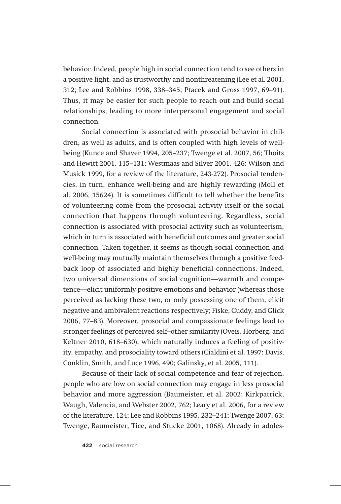behavior. Indeed, people high in social connection tend to see others in a positive light, and as trustworthy and nonthreatening (Lee et al. 2001, 312; Lee and Robbins 1998, 338–345; Ptacek and Gross 1997, 69–91). Thus, it may be easier for such people to reach out and build social relationships, leading to more interpersonal engagement and social connection.

Social connection is associated with prosocial behavior in children, as well as adults, and is often coupled with high levels of wellbeing (Kunce and Shaver 1994, 205–237; Twenge et al. 2007, 56; Thoits and Hewitt 2001, 115–131; Westmaas and Silver 2001, 426; Wilson and Musick 1999, for a review of the literature, 243-272). Prosocial tendencies, in turn, enhance well-being and are highly rewarding (Moll et al. 2006, 15624). It is sometimes difficult to tell whether the benefits of volunteering come from the prosocial activity itself or the social connection that happens through volunteering. Regardless, social connection is associated with prosocial activity such as volunteerism, which in turn is associated with beneficial outcomes and greater social connection. Taken together, it seems as though social connection and well-being may mutually maintain themselves through a positive feedback loop of associated and highly beneficial connections. Indeed, two universal dimensions of social cognition—warmth and competence—elicit uniformly positive emotions and behavior (whereas those perceived as lacking these two, or only possessing one of them, elicit negative and ambivalent reactions respectively; Fiske, Cuddy, and Glick 2006, 77–83). Moreover, prosocial and compassionate feelings lead to stronger feelings of perceived self–other similarity (Oveis, Horberg, and Keltner 2010, 618–630), which naturally induces a feeling of positivity, empathy, and prosociality toward others (Cialdini et al. 1997; Davis, Conklin, Smith, and Luce 1996, 490; Galinsky, et al. 2005, 111).

Because of their lack of social competence and fear of rejection, people who are low on social connection may engage in less prosocial behavior and more aggression (Baumeister, et al. 2002; Kirkpatrick, Waugh, Valencia, and Webster 2002, 762; Leary et al. 2006, for a review of the literature, 124; Lee and Robbins 1995, 232–241; Twenge 2007, 63; Twenge, Baumeister, Tice, and Stucke 2001, 1068). Already in adoles-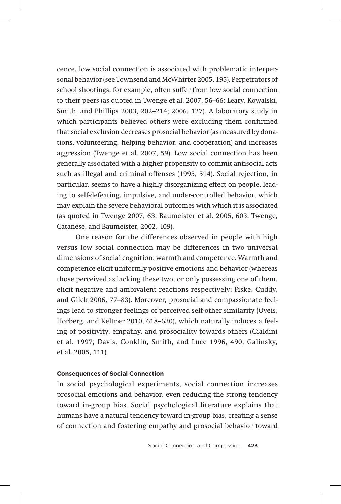cence, low social connection is associated with problematic interpersonal behavior (see Townsend and McWhirter 2005, 195). Perpetrators of school shootings, for example, often suffer from low social connection to their peers (as quoted in Twenge et al. 2007, 56–66; Leary, Kowalski, Smith, and Phillips 2003, 202–214; 2006, 127). A laboratory study in which participants believed others were excluding them confirmed that social exclusion decreases prosocial behavior (as measured by donations, volunteering, helping behavior, and cooperation) and increases aggression (Twenge et al. 2007, 59). Low social connection has been generally associated with a higher propensity to commit antisocial acts such as illegal and criminal offenses (1995, 514). Social rejection, in particular, seems to have a highly disorganizing effect on people, leading to self-defeating, impulsive, and under-controlled behavior, which may explain the severe behavioral outcomes with which it is associated (as quoted in Twenge 2007, 63; Baumeister et al. 2005, 603; Twenge, Catanese, and Baumeister, 2002, 409).

One reason for the differences observed in people with high versus low social connection may be differences in two universal dimensions of social cognition: warmth and competence. Warmth and competence elicit uniformly positive emotions and behavior (whereas those perceived as lacking these two, or only possessing one of them, elicit negative and ambivalent reactions respectively; Fiske, Cuddy, and Glick 2006, 77–83). Moreover, prosocial and compassionate feelings lead to stronger feelings of perceived self-other similarity (Oveis, Horberg, and Keltner 2010, 618–630), which naturally induces a feeling of positivity, empathy, and prosociality towards others (Cialdini et al. 1997; Davis, Conklin, Smith, and Luce 1996, 490; Galinsky, et al. 2005, 111).

#### **Consequences of Social Connection**

In social psychological experiments, social connection increases prosocial emotions and behavior, even reducing the strong tendency toward in-group bias. Social psychological literature explains that humans have a natural tendency toward in-group bias, creating a sense of connection and fostering empathy and prosocial behavior toward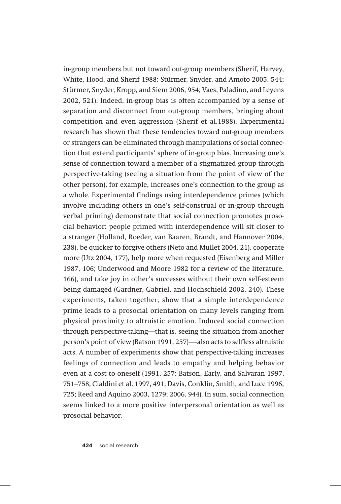in-group members but not toward out-group members (Sherif, Harvey, White, Hood, and Sherif 1988; Stürmer, Snyder, and Amoto 2005, 544; Stürmer, Snyder, Kropp, and Siem 2006, 954; Vaes, Paladino, and Leyens 2002, 521). Indeed, in-group bias is often accompanied by a sense of separation and disconnect from out-group members, bringing about competition and even aggression (Sherif et al.1988). Experimental research has shown that these tendencies toward out-group members or strangers can be eliminated through manipulations of social connection that extend participants' sphere of in-group bias. Increasing one's sense of connection toward a member of a stigmatized group through perspective-taking (seeing a situation from the point of view of the other person), for example, increases one's connection to the group as a whole. Experimental findings using interdependence primes (which involve including others in one's self-construal or in-group through verbal priming) demonstrate that social connection promotes prosocial behavior: people primed with interdependence will sit closer to a stranger (Holland, Roeder, van Baaren, Brandt, and Hannover 2004, 238), be quicker to forgive others (Neto and Mullet 2004, 21), cooperate more (Utz 2004, 177), help more when requested (Eisenberg and Miller 1987, 106; Underwood and Moore 1982 for a review of the literature, 166), and take joy in other's successes without their own self-esteem being damaged (Gardner, Gabriel, and Hochschield 2002, 240). These experiments, taken together, show that a simple interdependence prime leads to a prosocial orientation on many levels ranging from physical proximity to altruistic emotion. Induced social connection through perspective-taking—that is, seeing the situation from another person's point of view (Batson 1991, 257)-—also acts to selfless altruistic acts. A number of experiments show that perspective-taking increases feelings of connection and leads to empathy and helping behavior even at a cost to oneself (1991, 257; Batson, Early, and Salvaran 1997, 751–758; Cialdini et al. 1997, 491; Davis, Conklin, Smith, and Luce 1996, 725; Reed and Aquino 2003, 1279; 2006, 944). In sum, social connection seems linked to a more positive interpersonal orientation as well as prosocial behavior.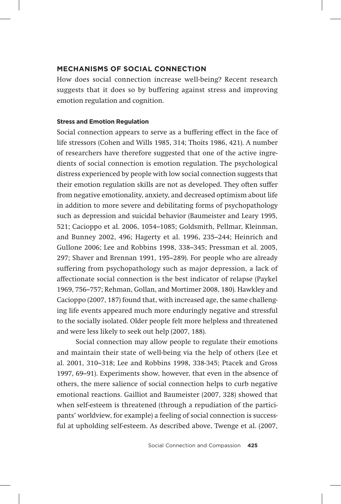### **Mechanisms of Social Connection**

How does social connection increase well-being? Recent research suggests that it does so by buffering against stress and improving emotion regulation and cognition.

#### **Stress and Emotion Regulation**

Social connection appears to serve as a buffering effect in the face of life stressors (Cohen and Wills 1985, 314; Thoits 1986, 421). A number of researchers have therefore suggested that one of the active ingredients of social connection is emotion regulation. The psychological distress experienced by people with low social connection suggests that their emotion regulation skills are not as developed. They often suffer from negative emotionality, anxiety, and decreased optimism about life in addition to more severe and debilitating forms of psychopathology such as depression and suicidal behavior (Baumeister and Leary 1995, 521; Cacioppo et al. 2006, 1054–1085; Goldsmith, Pellmar, Kleinman, and Bunney 2002, 496; Hagerty et al. 1996, 235–244; Heinrich and Gullone 2006; Lee and Robbins 1998, 338–345; Pressman et al. 2005, 297; Shaver and Brennan 1991, 195–289). For people who are already suffering from psychopathology such as major depression, a lack of affectionate social connection is the best indicator of relapse (Paykel 1969, 756–757; Rehman, Gollan, and Mortimer 2008, 180). Hawkley and Cacioppo (2007, 187) found that, with increased age, the same challenging life events appeared much more enduringly negative and stressful to the socially isolated. Older people felt more helpless and threatened and were less likely to seek out help (2007, 188).

Social connection may allow people to regulate their emotions and maintain their state of well-being via the help of others (Lee et al. 2001, 310–318; Lee and Robbins 1998, 338-345; Ptacek and Gross 1997, 69–91). Experiments show, however, that even in the absence of others, the mere salience of social connection helps to curb negative emotional reactions. Gailliot and Baumeister (2007, 328) showed that when self-esteem is threatened (through a repudiation of the participants' worldview, for example) a feeling of social connection is successful at upholding self-esteem. As described above, Twenge et al. (2007,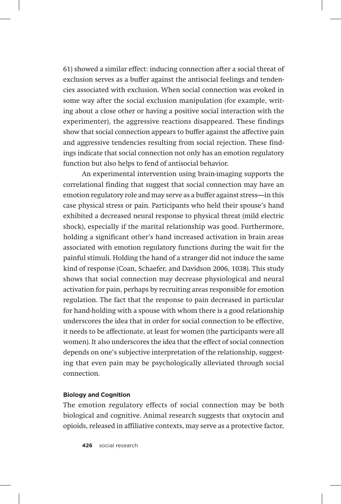61) showed a similar effect: inducing connection after a social threat of exclusion serves as a buffer against the antisocial feelings and tendencies associated with exclusion. When social connection was evoked in some way after the social exclusion manipulation (for example, writing about a close other or having a positive social interaction with the experimenter), the aggressive reactions disappeared. These findings show that social connection appears to buffer against the affective pain and aggressive tendencies resulting from social rejection. These findings indicate that social connection not only has an emotion regulatory function but also helps to fend of antisocial behavior.

An experimental intervention using brain-imaging supports the correlational finding that suggest that social connection may have an emotion regulatory role and may serve as a buffer against stress—in this case physical stress or pain. Participants who held their spouse's hand exhibited a decreased neural response to physical threat (mild electric shock), especially if the marital relationship was good. Furthermore, holding a significant other's hand increased activation in brain areas associated with emotion regulatory functions during the wait for the painful stimuli. Holding the hand of a stranger did not induce the same kind of response (Coan, Schaefer, and Davidson 2006, 1038). This study shows that social connection may decrease physiological and neural activation for pain, perhaps by recruiting areas responsible for emotion regulation. The fact that the response to pain decreased in particular for hand-holding with a spouse with whom there is a good relationship underscores the idea that in order for social connection to be effective, it needs to be affectionate, at least for women (the participants were all women). It also underscores the idea that the effect of social connection depends on one's subjective interpretation of the relationship, suggesting that even pain may be psychologically alleviated through social connection.

#### **Biology and Cognition**

The emotion regulatory effects of social connection may be both biological and cognitive. Animal research suggests that oxytocin and opioids, released in affiliative contexts, may serve as a protective factor,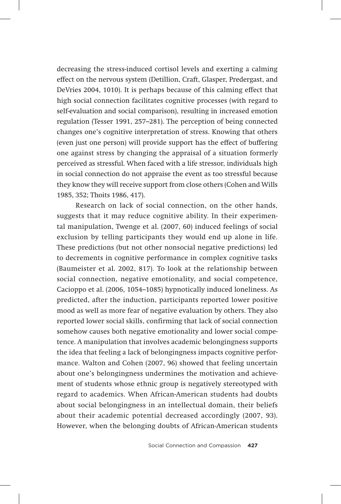decreasing the stress-induced cortisol levels and exerting a calming effect on the nervous system (Detillion, Craft, Glasper, Predergast, and DeVries 2004, 1010). It is perhaps because of this calming effect that high social connection facilitates cognitive processes (with regard to self-evaluation and social comparison), resulting in increased emotion regulation (Tesser 1991, 257–281). The perception of being connected changes one's cognitive interpretation of stress. Knowing that others (even just one person) will provide support has the effect of buffering one against stress by changing the appraisal of a situation formerly perceived as stressful. When faced with a life stressor, individuals high in social connection do not appraise the event as too stressful because they know they will receive support from close others (Cohen and Wills 1985, 352; Thoits 1986, 417).

Research on lack of social connection, on the other hands, suggests that it may reduce cognitive ability. In their experimental manipulation, Twenge et al. (2007, 60) induced feelings of social exclusion by telling participants they would end up alone in life. These predictions (but not other nonsocial negative predictions) led to decrements in cognitive performance in complex cognitive tasks (Baumeister et al. 2002, 817). To look at the relationship between social connection, negative emotionality, and social competence, Cacioppo et al. (2006, 1054–1085) hypnotically induced loneliness. As predicted, after the induction, participants reported lower positive mood as well as more fear of negative evaluation by others. They also reported lower social skills, confirming that lack of social connection somehow causes both negative emotionality and lower social competence. A manipulation that involves academic belongingness supports the idea that feeling a lack of belongingness impacts cognitive performance. Walton and Cohen (2007, 96) showed that feeling uncertain about one's belongingness undermines the motivation and achievement of students whose ethnic group is negatively stereotyped with regard to academics. When African-American students had doubts about social belongingness in an intellectual domain, their beliefs about their academic potential decreased accordingly (2007, 93). However, when the belonging doubts of African-American students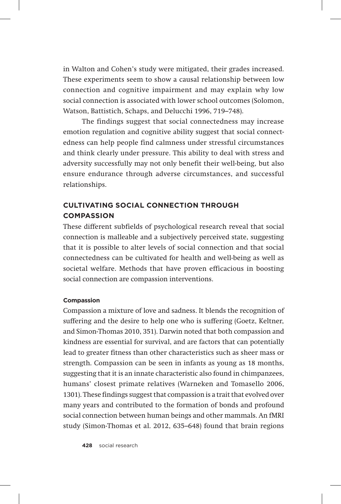in Walton and Cohen's study were mitigated, their grades increased. These experiments seem to show a causal relationship between low connection and cognitive impairment and may explain why low social connection is associated with lower school outcomes (Solomon, Watson, Battistich, Schaps, and Delucchi 1996, 719–748).

The findings suggest that social connectedness may increase emotion regulation and cognitive ability suggest that social connectedness can help people find calmness under stressful circumstances and think clearly under pressure. This ability to deal with stress and adversity successfully may not only benefit their well-being, but also ensure endurance through adverse circumstances, and successful relationships.

# **Cultivating Social Connection through Compassion**

These different subfields of psychological research reveal that social connection is malleable and a subjectively perceived state, suggesting that it is possible to alter levels of social connection and that social connectedness can be cultivated for health and well-being as well as societal welfare. Methods that have proven efficacious in boosting social connection are compassion interventions.

#### **Compassion**

Compassion a mixture of love and sadness. It blends the recognition of suffering and the desire to help one who is suffering (Goetz, Keltner, and Simon-Thomas 2010, 351). Darwin noted that both compassion and kindness are essential for survival, and are factors that can potentially lead to greater fitness than other characteristics such as sheer mass or strength. Compassion can be seen in infants as young as 18 months, suggesting that it is an innate characteristic also found in chimpanzees, humans' closest primate relatives (Warneken and Tomasello 2006, 1301). These findings suggest that compassion is a trait that evolved over many years and contributed to the formation of bonds and profound social connection between human beings and other mammals. An fMRI study (Simon-Thomas et al. 2012, 635–648) found that brain regions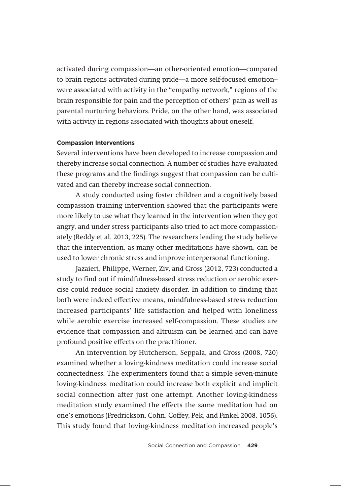activated during compassion—an other-oriented emotion—compared to brain regions activated during pride—a more self-focused emotion- were associated with activity in the "empathy network," regions of the brain responsible for pain and the perception of others' pain as well as parental nurturing behaviors. Pride, on the other hand, was associated with activity in regions associated with thoughts about oneself.

#### **Compassion Interventions**

Several interventions have been developed to increase compassion and thereby increase social connection. A number of studies have evaluated these programs and the findings suggest that compassion can be cultivated and can thereby increase social connection.

A study conducted using foster children and a cognitively based compassion training intervention showed that the participants were more likely to use what they learned in the intervention when they got angry, and under stress participants also tried to act more compassionately (Reddy et al. 2013, 225). The researchers leading the study believe that the intervention, as many other meditations have shown, can be used to lower chronic stress and improve interpersonal functioning.

Jazaieri, Philippe, Werner, Ziv, and Gross (2012, 723) conducted a study to find out if mindfulness-based stress reduction or aerobic exercise could reduce social anxiety disorder. In addition to finding that both were indeed effective means, mindfulness-based stress reduction increased participants' life satisfaction and helped with loneliness while aerobic exercise increased self-compassion. These studies are evidence that compassion and altruism can be learned and can have profound positive effects on the practitioner.

An intervention by Hutcherson, Seppala, and Gross (2008, 720) examined whether a loving-kindness meditation could increase social connectedness. The experimenters found that a simple seven-minute loving-kindness meditation could increase both explicit and implicit social connection after just one attempt. Another loving-kindness meditation study examined the effects the same meditation had on one's emotions (Fredrickson, Cohn, Coffey, Pek, and Finkel 2008, 1056). This study found that loving-kindness meditation increased people's